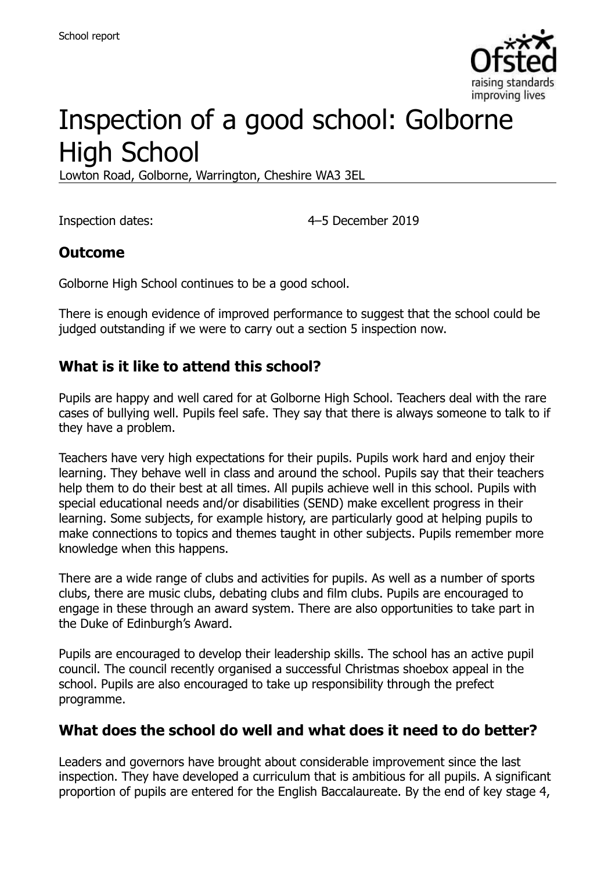

# Inspection of a good school: Golborne High School

Lowton Road, Golborne, Warrington, Cheshire WA3 3EL

Inspection dates: 4–5 December 2019

#### **Outcome**

Golborne High School continues to be a good school.

There is enough evidence of improved performance to suggest that the school could be judged outstanding if we were to carry out a section 5 inspection now.

#### **What is it like to attend this school?**

Pupils are happy and well cared for at Golborne High School. Teachers deal with the rare cases of bullying well. Pupils feel safe. They say that there is always someone to talk to if they have a problem.

Teachers have very high expectations for their pupils. Pupils work hard and enjoy their learning. They behave well in class and around the school. Pupils say that their teachers help them to do their best at all times. All pupils achieve well in this school. Pupils with special educational needs and/or disabilities (SEND) make excellent progress in their learning. Some subjects, for example history, are particularly good at helping pupils to make connections to topics and themes taught in other subjects. Pupils remember more knowledge when this happens.

There are a wide range of clubs and activities for pupils. As well as a number of sports clubs, there are music clubs, debating clubs and film clubs. Pupils are encouraged to engage in these through an award system. There are also opportunities to take part in the Duke of Edinburgh's Award.

Pupils are encouraged to develop their leadership skills. The school has an active pupil council. The council recently organised a successful Christmas shoebox appeal in the school. Pupils are also encouraged to take up responsibility through the prefect programme.

# **What does the school do well and what does it need to do better?**

Leaders and governors have brought about considerable improvement since the last inspection. They have developed a curriculum that is ambitious for all pupils. A significant proportion of pupils are entered for the English Baccalaureate. By the end of key stage 4,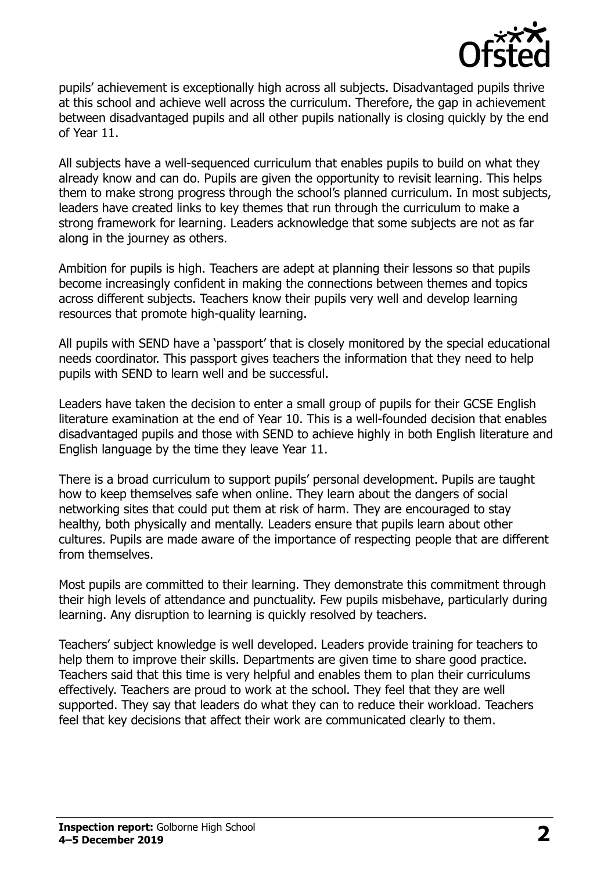

pupils' achievement is exceptionally high across all subjects. Disadvantaged pupils thrive at this school and achieve well across the curriculum. Therefore, the gap in achievement between disadvantaged pupils and all other pupils nationally is closing quickly by the end of Year 11.

All subjects have a well-sequenced curriculum that enables pupils to build on what they already know and can do. Pupils are given the opportunity to revisit learning. This helps them to make strong progress through the school's planned curriculum. In most subjects, leaders have created links to key themes that run through the curriculum to make a strong framework for learning. Leaders acknowledge that some subjects are not as far along in the journey as others.

Ambition for pupils is high. Teachers are adept at planning their lessons so that pupils become increasingly confident in making the connections between themes and topics across different subjects. Teachers know their pupils very well and develop learning resources that promote high-quality learning.

All pupils with SEND have a 'passport' that is closely monitored by the special educational needs coordinator. This passport gives teachers the information that they need to help pupils with SEND to learn well and be successful.

Leaders have taken the decision to enter a small group of pupils for their GCSE English literature examination at the end of Year 10. This is a well-founded decision that enables disadvantaged pupils and those with SEND to achieve highly in both English literature and English language by the time they leave Year 11.

There is a broad curriculum to support pupils' personal development. Pupils are taught how to keep themselves safe when online. They learn about the dangers of social networking sites that could put them at risk of harm. They are encouraged to stay healthy, both physically and mentally. Leaders ensure that pupils learn about other cultures. Pupils are made aware of the importance of respecting people that are different from themselves.

Most pupils are committed to their learning. They demonstrate this commitment through their high levels of attendance and punctuality. Few pupils misbehave, particularly during learning. Any disruption to learning is quickly resolved by teachers.

Teachers' subject knowledge is well developed. Leaders provide training for teachers to help them to improve their skills. Departments are given time to share good practice. Teachers said that this time is very helpful and enables them to plan their curriculums effectively. Teachers are proud to work at the school. They feel that they are well supported. They say that leaders do what they can to reduce their workload. Teachers feel that key decisions that affect their work are communicated clearly to them.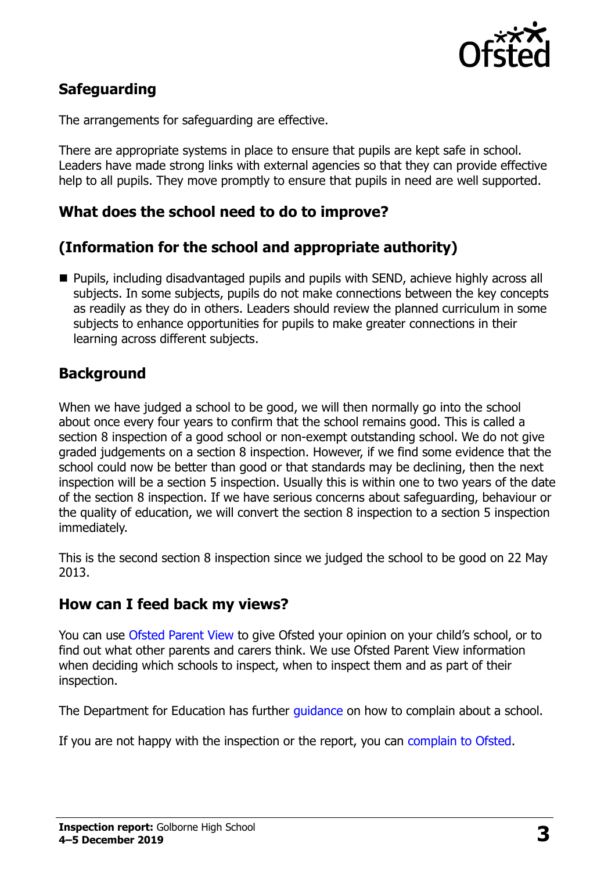

# **Safeguarding**

The arrangements for safeguarding are effective.

There are appropriate systems in place to ensure that pupils are kept safe in school. Leaders have made strong links with external agencies so that they can provide effective help to all pupils. They move promptly to ensure that pupils in need are well supported.

#### **What does the school need to do to improve?**

### **(Information for the school and appropriate authority)**

■ Pupils, including disadvantaged pupils and pupils with SEND, achieve highly across all subjects. In some subjects, pupils do not make connections between the key concepts as readily as they do in others. Leaders should review the planned curriculum in some subjects to enhance opportunities for pupils to make greater connections in their learning across different subjects.

### **Background**

When we have judged a school to be good, we will then normally go into the school about once every four years to confirm that the school remains good. This is called a section 8 inspection of a good school or non-exempt outstanding school. We do not give graded judgements on a section 8 inspection. However, if we find some evidence that the school could now be better than good or that standards may be declining, then the next inspection will be a section 5 inspection. Usually this is within one to two years of the date of the section 8 inspection. If we have serious concerns about safeguarding, behaviour or the quality of education, we will convert the section 8 inspection to a section 5 inspection immediately.

This is the second section 8 inspection since we judged the school to be good on 22 May 2013.

#### **How can I feed back my views?**

You can use [Ofsted Parent View](https://parentview.ofsted.gov.uk/) to give Ofsted your opinion on your child's school, or to find out what other parents and carers think. We use Ofsted Parent View information when deciding which schools to inspect, when to inspect them and as part of their inspection.

The Department for Education has further quidance on how to complain about a school.

If you are not happy with the inspection or the report, you can [complain to Ofsted.](https://www.gov.uk/complain-ofsted-report)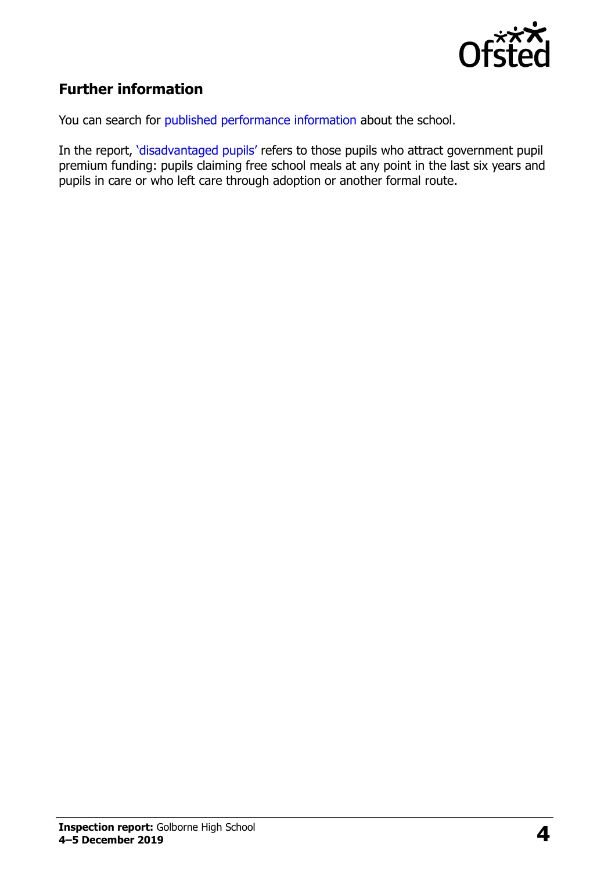

# **Further information**

You can search for [published performance information](http://www.compare-school-performance.service.gov.uk/) about the school.

In the report, '[disadvantaged pupils](http://www.gov.uk/guidance/pupil-premium-information-for-schools-and-alternative-provision-settings)' refers to those pupils who attract government pupil premium funding: pupils claiming free school meals at any point in the last six years and pupils in care or who left care through adoption or another formal route.

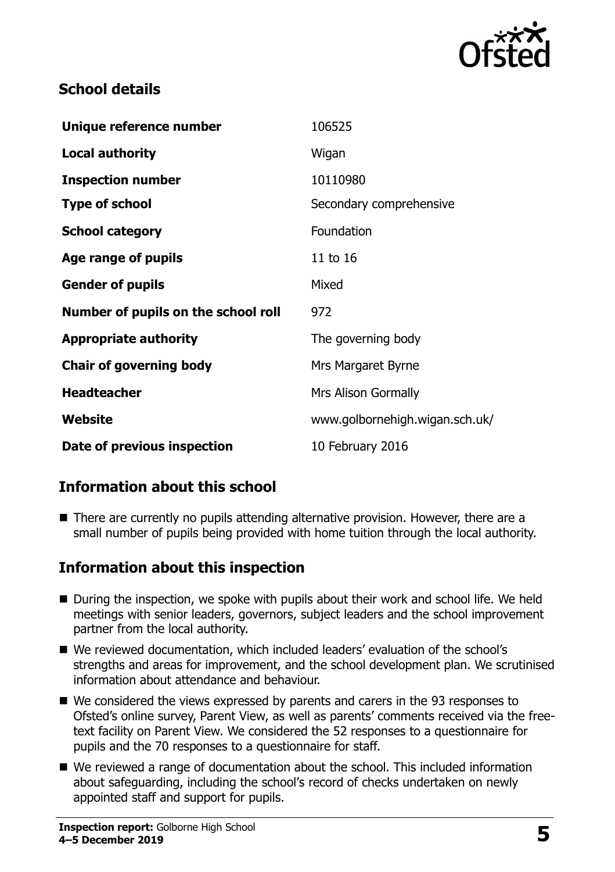

### **School details**

| Unique reference number             | 106525                         |
|-------------------------------------|--------------------------------|
| <b>Local authority</b>              | Wigan                          |
| <b>Inspection number</b>            | 10110980                       |
| <b>Type of school</b>               | Secondary comprehensive        |
| <b>School category</b>              | Foundation                     |
| Age range of pupils                 | 11 to 16                       |
| <b>Gender of pupils</b>             | Mixed                          |
| Number of pupils on the school roll | 972                            |
| <b>Appropriate authority</b>        | The governing body             |
| <b>Chair of governing body</b>      | Mrs Margaret Byrne             |
| <b>Headteacher</b>                  | Mrs Alison Gormally            |
| Website                             | www.golbornehigh.wigan.sch.uk/ |
| Date of previous inspection         | 10 February 2016               |

# **Information about this school**

■ There are currently no pupils attending alternative provision. However, there are a small number of pupils being provided with home tuition through the local authority.

#### **Information about this inspection**

- During the inspection, we spoke with pupils about their work and school life. We held meetings with senior leaders, governors, subject leaders and the school improvement partner from the local authority.
- We reviewed documentation, which included leaders' evaluation of the school's strengths and areas for improvement, and the school development plan. We scrutinised information about attendance and behaviour.
- We considered the views expressed by parents and carers in the 93 responses to Ofsted's online survey, Parent View, as well as parents' comments received via the freetext facility on Parent View. We considered the 52 responses to a questionnaire for pupils and the 70 responses to a questionnaire for staff.
- We reviewed a range of documentation about the school. This included information about safeguarding, including the school's record of checks undertaken on newly appointed staff and support for pupils.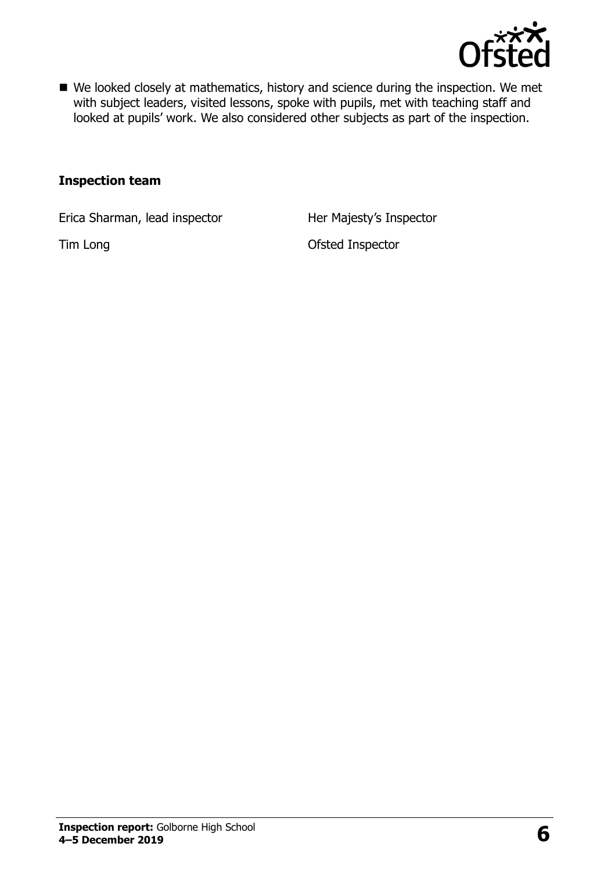

■ We looked closely at mathematics, history and science during the inspection. We met with subject leaders, visited lessons, spoke with pupils, met with teaching staff and looked at pupils' work. We also considered other subjects as part of the inspection.

#### **Inspection team**

Erica Sharman, lead inspector Her Majesty's Inspector

Tim Long **Contract Contract Contract Contract Contract Contract Contract Contract Contract Contract Contract Contract Contract Contract Contract Contract Contract Contract Contract Contract Contract Contract Contract Contr**